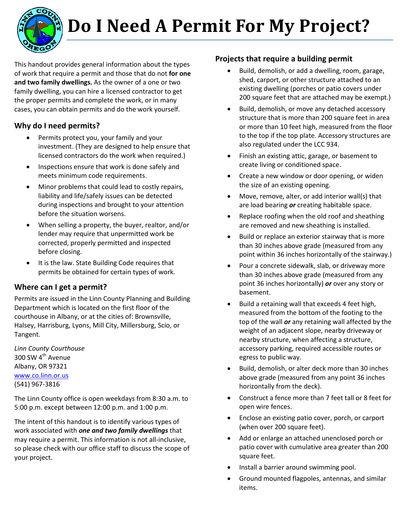

# **Do I Need A Permit For My Project?**

This handout provides general information about the types of work that require a permit and those that do not **for one and two family dwellings.** As the owner of a one or two family dwelling, you can hire a licensed contractor to get the proper permits and complete the work, or in many cases, you can obtain permits and do the work yourself.

# **Why do I need permits?**

- Permits protect you, your family and your investment. (They are designed to help ensure that licensed contractors do the work when required.)
- Inspections ensure that work is done safely and meets minimum code requirements.
- Minor problems that could lead to costly repairs, liability and life/safely issues can be detected during inspections and brought to your attention before the situation worsens.
- When selling a property, the buyer, realtor, and/or lender may require that unpermitted work be corrected, properly permitted and inspected before closing.
- It is the law. State Building Code requires that permits be obtained for certain types of work.

# **Where can I get a permit?**

Permits are issued in the Linn County Planning and Building Department which is located on the first floor of the courthouse in Albany, or at the cities of: Brownsville, Halsey, Harrisburg, Lyons, Mill City, Millersburg, Scio, or Tangent.

*Linn County Courthouse* 300 SW 4<sup>th</sup> Avenue Albany, OR 97321 [www.co.linn.or.us](http://www.co.linn.or.us/) (541) 967-3816

The Linn County office is open weekdays from 8:30 a.m. to 5:00 p.m. except between 12:00 p.m. and 1:00 p.m.

The intent of this handout is to identify various types of work associated with *one and two family dwellings* that may require a permit. This information is not all-inclusive, so please check with our office staff to discuss the scope of your project.

## **Projects that require a building permit**

- Build, demolish, or add a dwelling, room, garage, shed, carport, or other structure attached to an existing dwelling (porches or patio covers under 200 square feet that are attached may be exempt.)
- Build, demolish, or move any detached accessory structure that is more than 200 square feet in area or more than 10 feet high, measured from the floor to the top if the top plate. Accessory structures are also regulated under the LCC 934.
- Finish an existing attic, garage, or basement to create living or conditioned space.
- Create a new window or door opening, or widen the size of an existing opening.
- Move, remove, alter, or add interior wall(s) that are load bearing *or* creating habitable space.
- Replace roofing when the old roof and sheathing are removed and new sheathing is installed.
- Build or replace an exterior stairway that is more than 30 inches above grade (measured from any point within 36 inches horizontally of the stairway.)
- Pour a concrete sidewalk, slab, or driveway more than 30 inches above grade (measured from any point 36 inches horizontally) *or* over any story or basement.
- Build a retaining wall that exceeds 4 feet high, measured from the bottom of the footing to the top of the wall *or* any retaining wall affected by the weight of an adjacent slope, nearby driveway or nearby structure, when affecting a structure, accessory parking, required accessible routes or egress to public way.
- Build, demolish, or alter deck more than 30 inches above grade (measured from any point 36 inches horizontally from the deck).
- Construct a fence more than 7 feet tall or 8 feet for open wire fences.
- Enclose an existing patio cover, porch, or carport (when over 200 square feet).
- Add or enlarge an attached unenclosed porch or patio cover with cumulative area greater than 200 square feet.
- Install a barrier around swimming pool.
- Ground mounted flagpoles, antennas, and similar items.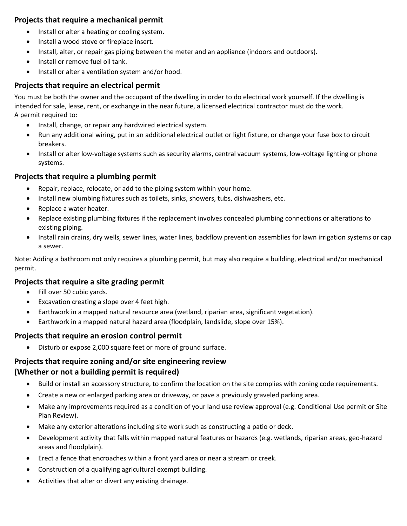#### **Projects that require a mechanical permit**

- Install or alter a heating or cooling system.
- Install a wood stove or fireplace insert.
- Install, alter, or repair gas piping between the meter and an appliance (indoors and outdoors).
- Install or remove fuel oil tank.
- Install or alter a ventilation system and/or hood.

## **Projects that require an electrical permit**

You must be both the owner and the occupant of the dwelling in order to do electrical work yourself. If the dwelling is intended for sale, lease, rent, or exchange in the near future, a licensed electrical contractor must do the work. A permit required to:

- Install, change, or repair any hardwired electrical system.
- Run any additional wiring, put in an additional electrical outlet or light fixture, or change your fuse box to circuit breakers.
- Install or alter low-voltage systems such as security alarms, central vacuum systems, low-voltage lighting or phone systems.

#### **Projects that require a plumbing permit**

- Repair, replace, relocate, or add to the piping system within your home.
- Install new plumbing fixtures such as toilets, sinks, showers, tubs, dishwashers, etc.
- Replace a water heater.
- Replace existing plumbing fixtures if the replacement involves concealed plumbing connections or alterations to existing piping.
- Install rain drains, dry wells, sewer lines, water lines, backflow prevention assemblies for lawn irrigation systems or cap a sewer.

Note: Adding a bathroom not only requires a plumbing permit, but may also require a building, electrical and/or mechanical permit.

#### **Projects that require a site grading permit**

- Fill over 50 cubic yards.
- Excavation creating a slope over 4 feet high.
- Earthwork in a mapped natural resource area (wetland, riparian area, significant vegetation).
- Earthwork in a mapped natural hazard area (floodplain, landslide, slope over 15%).

#### **Projects that require an erosion control permit**

• Disturb or expose 2,000 square feet or more of ground surface.

### **Projects that require zoning and/or site engineering review (Whether or not a building permit is required)**

- Build or install an accessory structure, to confirm the location on the site complies with zoning code requirements.
- Create a new or enlarged parking area or driveway, or pave a previously graveled parking area.
- Make any improvements required as a condition of your land use review approval (e.g. Conditional Use permit or Site Plan Review).
- Make any exterior alterations including site work such as constructing a patio or deck.
- Development activity that falls within mapped natural features or hazards (e.g. wetlands, riparian areas, geo-hazard areas and floodplain).
- Erect a fence that encroaches within a front yard area or near a stream or creek.
- Construction of a qualifying agricultural exempt building.
- Activities that alter or divert any existing drainage.